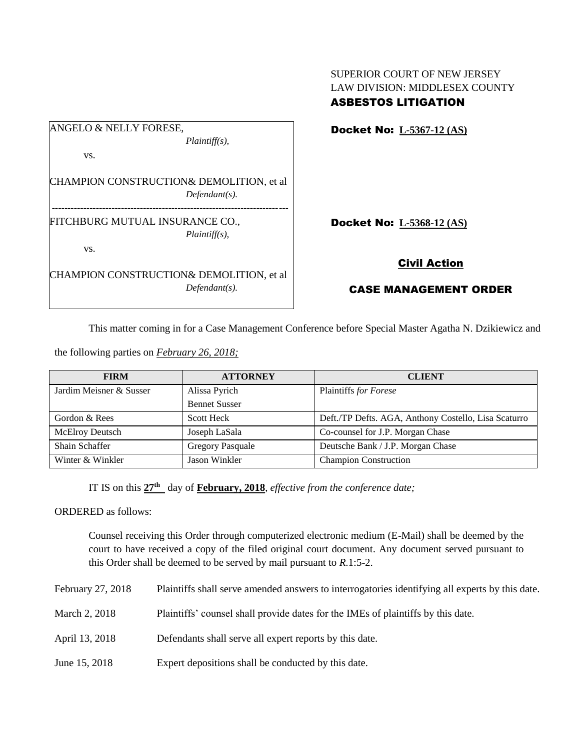| ANGELO & NELLY FORESE, |                                          |
|------------------------|------------------------------------------|
|                        | $Plaintiff(s)$ ,                         |
| VS.                    |                                          |
|                        |                                          |
|                        | CHAMPION CONSTRUCTION& DEMOLITION, et al |
|                        | $Defendant(s)$ .                         |
|                        | FITCHBURG MUTUAL INSURANCE CO.,          |
|                        | $Plaintiff(s)$ ,                         |
| VS.                    |                                          |
|                        |                                          |
|                        | CHAMPION CONSTRUCTION& DEMOLITION, et al |
|                        | $Defendant(s)$ .                         |
|                        |                                          |

SUPERIOR COURT OF NEW JERSEY LAW DIVISION: MIDDLESEX COUNTY ASBESTOS LITIGATION

Docket No: **L-5367-12 (AS)**

Docket No: **L-5368-12 (AS)**

## Civil Action

## CASE MANAGEMENT ORDER

This matter coming in for a Case Management Conference before Special Master Agatha N. Dzikiewicz and

the following parties on *February 26, 2018;*

| <b>FIRM</b>             | <b>ATTORNEY</b>         | <b>CLIENT</b>                                        |  |  |
|-------------------------|-------------------------|------------------------------------------------------|--|--|
| Jardim Meisner & Susser | Alissa Pyrich           | Plaintiffs for Forese                                |  |  |
|                         | <b>Bennet Susser</b>    |                                                      |  |  |
| Gordon & Rees           | <b>Scott Heck</b>       | Deft./TP Defts. AGA, Anthony Costello, Lisa Scaturro |  |  |
| <b>McElroy Deutsch</b>  | Joseph LaSala           | Co-counsel for J.P. Morgan Chase                     |  |  |
| Shain Schaffer          | <b>Gregory Pasquale</b> | Deutsche Bank / J.P. Morgan Chase                    |  |  |
| Winter & Winkler        | Jason Winkler           | <b>Champion Construction</b>                         |  |  |

IT IS on this **27th** day of **February, 2018**, *effective from the conference date;*

ORDERED as follows:

Counsel receiving this Order through computerized electronic medium (E-Mail) shall be deemed by the court to have received a copy of the filed original court document. Any document served pursuant to this Order shall be deemed to be served by mail pursuant to *R*.1:5-2.

| February 27, 2018 | Plaintiffs shall serve amended answers to interrogatories identifying all experts by this date. |  |  |
|-------------------|-------------------------------------------------------------------------------------------------|--|--|
|                   |                                                                                                 |  |  |

- March 2, 2018 Plaintiffs' counsel shall provide dates for the IMEs of plaintiffs by this date.
- April 13, 2018 Defendants shall serve all expert reports by this date.
- June 15, 2018 Expert depositions shall be conducted by this date.